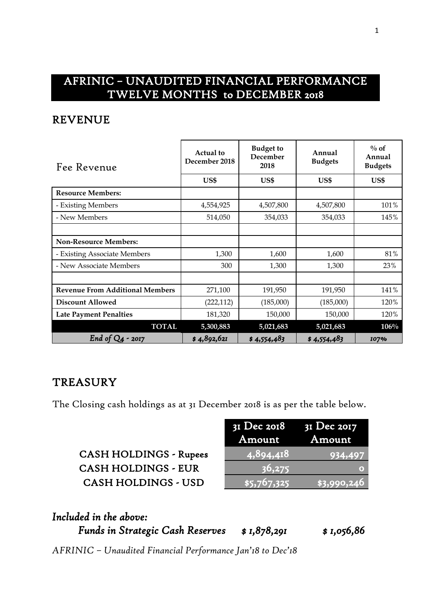## AFRINIC – UNAUDITED FINANCIAL PERFORMANCE TWELVE MONTHS to DECEMBER 2018

#### REVENUE

| Fee Revenue                            | Actual to<br>December 2018 | <b>Budget to</b><br>December<br>2018 | Annual<br><b>Budgets</b> | $\%$ of<br>Annual<br><b>Budgets</b> |  |
|----------------------------------------|----------------------------|--------------------------------------|--------------------------|-------------------------------------|--|
|                                        | US\$                       | US\$                                 | US\$                     | US\$                                |  |
| <b>Resource Members:</b>               |                            |                                      |                          |                                     |  |
| - Existing Members                     | 4,554,925                  | 4,507,800                            | 4,507,800                | 101%                                |  |
| - New Members                          | 514,050                    | 354,033                              | 354,033                  | 145%                                |  |
|                                        |                            |                                      |                          |                                     |  |
| <b>Non-Resource Members:</b>           |                            |                                      |                          |                                     |  |
| - Existing Associate Members           | 1,300                      | 1,600                                | 1,600                    | 81%                                 |  |
| - New Associate Members                | 300                        | 1,300                                | 1,300                    | 23%                                 |  |
|                                        |                            |                                      |                          |                                     |  |
| <b>Revenue From Additional Members</b> | 271,100                    | 191,950                              | 191,950                  | 141%                                |  |
| <b>Discount Allowed</b>                | (222, 112)                 | (185,000)                            | (185,000)                | 120%                                |  |
| <b>Late Payment Penalties</b>          | 181,320                    | 150,000                              | 150,000                  | 120%                                |  |
| <b>TOTAL</b>                           | 5,300,883                  | 5,021,683                            | 5,021,683                | 106%                                |  |
| End of $Q_4$<br>$-2017$                | \$4,892,621                | \$4,554,483                          | \$4,554,483              | 107%                                |  |

### **TREASURY**

The Closing cash holdings as at 31 December 2018 is as per the table below.

| <b>CASH HOLDINGS - Rupees</b> |
|-------------------------------|
| <b>CASH HOLDINGS - EUR</b>    |
| <b>CASH HOLDINGS - USD</b>    |

|                               | $3I$ Dec 2018 $3I$ Dec 2017<br>Amount | Amount      |
|-------------------------------|---------------------------------------|-------------|
| <b>CASH HOLDINGS - Rupees</b> | (4, 894, 418)                         | 934,497     |
| <b>CASH HOLDINGS - EUR</b>    | 36,275                                |             |
| <b>CASH HOLDINGS - USD</b>    | \$5,767,325                           | \$3,990,246 |

| Included in the above:                  |             |             |
|-----------------------------------------|-------------|-------------|
| <b>Funds in Strategic Cash Reserves</b> | \$1,878,291 | \$ 1,056,86 |

*AFRINIC – Unaudited Financial Performance Jan'18 to Dec'18*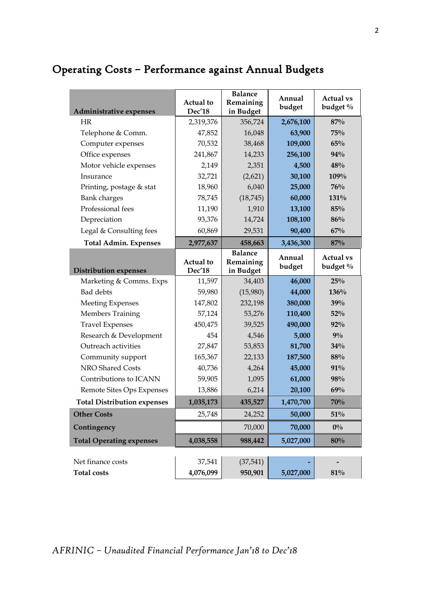# Operating Costs – Performance against Annual Budgets

| Administrative expenses            | Actual to<br>Dec'18 | <b>Balance</b><br>Remaining<br>in Budget | Annual<br>budget | <b>Actual vs</b><br>budget % |
|------------------------------------|---------------------|------------------------------------------|------------------|------------------------------|
| HR                                 | 2,319,376           | 356,724                                  | 2,676,100        | 87%                          |
| Telephone & Comm.                  | 47,852              | 16,048                                   | 63,900           | 75%                          |
| Computer expenses                  | 70,532              | 38,468                                   | 109,000          | 65%                          |
| Office expenses                    | 241,867             | 14,233                                   | 256,100          | 94%                          |
| Motor vehicle expenses             | 2,149               | 2,351                                    | 4,500            | 48%                          |
| Insurance                          | 32,721              | (2,621)                                  | 30,100           | 109%                         |
| Printing, postage & stat           | 18,960              | 6,040                                    | 25,000           | 76%                          |
| <b>Bank</b> charges                | 78,745              | (18, 745)                                | 60,000           | 131%                         |
| Professional fees                  | 11,190              | 1,910                                    | 13,100           | 85%                          |
| Depreciation                       | 93,376              | 14,724                                   | 108,100          | 86%                          |
| Legal & Consulting fees            | 60,869              | 29,531                                   | 90,400           | 67%                          |
| <b>Total Admin. Expenses</b>       | 2,977,637           | 458,663                                  | 3,436,300        | 87%                          |
| <b>Distribution expenses</b>       | Actual to<br>Dec'18 | <b>Balance</b><br>Remaining<br>in Budget | Annual<br>budget | <b>Actual vs</b><br>budget % |
| Marketing & Comms. Exps            | 11,597              | 34,403                                   | 46,000           | 25%                          |
| <b>Bad</b> debts                   | 59,980              | (15,980)                                 | 44,000           | 136%                         |
| <b>Meeting Expenses</b>            | 147,802             | 232,198                                  | 380,000          | 39%                          |
| <b>Members Training</b>            | 57,124              | 53,276                                   | 110,400          | 52%                          |
| <b>Travel Expenses</b>             | 450,475             | 39,525                                   | 490,000          | $92\%$                       |
| Research & Development             | 454                 | 4,546                                    | 5,000            | $9\%$                        |
| Outreach activities                | 27,847              | 53,853                                   | 81,700           | 34%                          |
| Community support                  | 165,367             | 22,133                                   | 187,500          | 88%                          |
| NRO Shared Costs                   | 40,736              | 4,264                                    | 45,000           | 91%                          |
| Contributions to ICANN             | 59,905              | 1,095                                    | 61,000           | 98%                          |
| Remote Sites Ops Expenses          | 13,886              | 6,214                                    | 20,100           | 69%                          |
| <b>Total Distribution expenses</b> | 1,035,173           | 435,527                                  | 1,470,700        | 70%                          |
| <b>Other Costs</b>                 | 25,748              | 24,252                                   | 50,000           | $51\%$                       |
| Contingency                        |                     | 70,000                                   | 70,000           | $0\%$                        |
| <b>Total Operating expenses</b>    | 4,038,558           | 988,442                                  | 5,027,000        | 80%                          |
|                                    |                     |                                          |                  |                              |
| Net finance costs                  | 37,541              | (37, 541)                                |                  |                              |
| <b>Total costs</b>                 | 4,076,099           | 950,901                                  | 5,027,000        | 81%                          |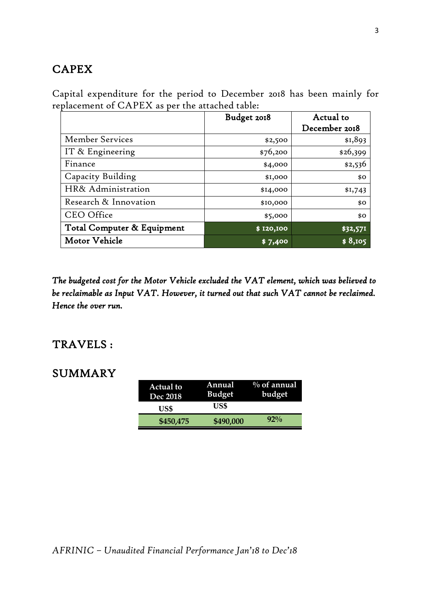### **CAPEX**

Capital expenditure for the period to December 2018 has been mainly for replacement of CAPEX as per the attached table:

|                            | Budget 2018 | Actual to     |
|----------------------------|-------------|---------------|
|                            |             | December 2018 |
| Member Services            | \$2,500     | \$1,893       |
| IT & Engineering           | \$76,200    | \$26,399      |
| Finance                    | \$4,000     | \$2,536       |
| Capacity Building          | \$1,000     | \$0           |
| HR& Administration         | \$14,000    | \$1,743       |
| Research & Innovation      | \$10,000    | \$0           |
| <b>CEO</b> Office          | \$5,000     | \$0           |
| Total Computer & Equipment | \$120,100   | \$32,571      |
| Motor Vehicle              | \$7,400     | \$8,105       |

*The budgeted cost for the Motor Vehicle excluded the VAT element, which was believed to be reclaimable as Input VAT. However, it turned out that such VAT cannot be reclaimed. Hence the over run.* 

#### TRAVELS :

#### SUMMARY

| <b>Actual to</b><br><b>Dec 2018</b> | Annual<br><b>Budget</b> | $\%$ of annual<br>budget |
|-------------------------------------|-------------------------|--------------------------|
| US\$                                | US\$                    |                          |
| \$450,475                           | \$490,000               | $92\%$                   |

*AFRINIC – Unaudited Financial Performance Jan'18 to Dec'18*